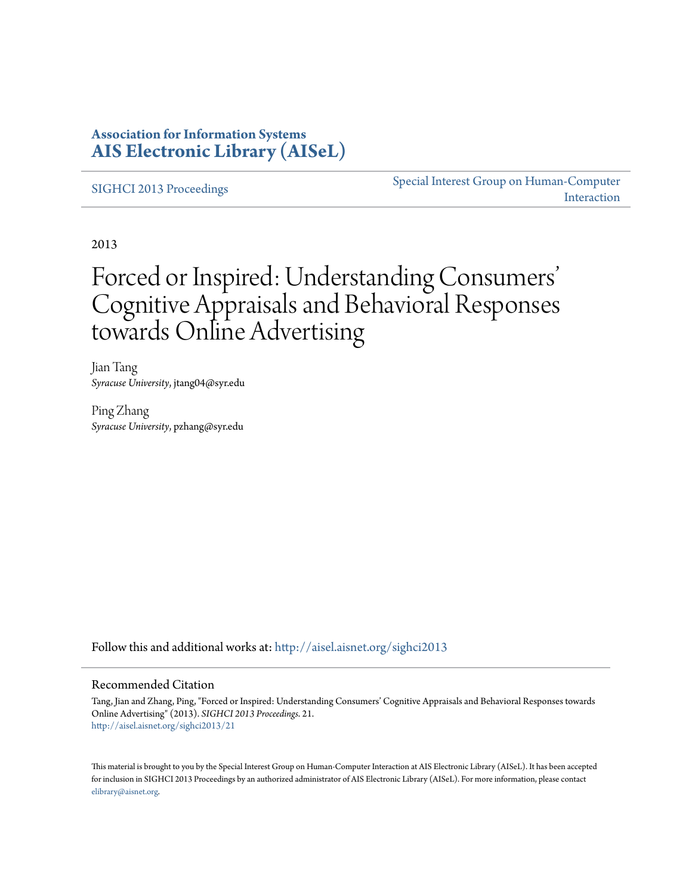# **Association for Information Systems [AIS Electronic Library \(AISeL\)](http://aisel.aisnet.org?utm_source=aisel.aisnet.org%2Fsighci2013%2F21&utm_medium=PDF&utm_campaign=PDFCoverPages)**

[SIGHCI 2013 Proceedings](http://aisel.aisnet.org/sighci2013?utm_source=aisel.aisnet.org%2Fsighci2013%2F21&utm_medium=PDF&utm_campaign=PDFCoverPages)

[Special Interest Group on Human-Computer](http://aisel.aisnet.org/sighci?utm_source=aisel.aisnet.org%2Fsighci2013%2F21&utm_medium=PDF&utm_campaign=PDFCoverPages) [Interaction](http://aisel.aisnet.org/sighci?utm_source=aisel.aisnet.org%2Fsighci2013%2F21&utm_medium=PDF&utm_campaign=PDFCoverPages)

2013

# Forced or Inspired: Understanding Consumers ' Cognitive Appraisals and Behavioral Responses towards Online Advertising

Jian Tang *Syracuse University*, jtang04@syr.edu

Ping Zhang *Syracuse University*, pzhang@syr.edu

Follow this and additional works at: [http://aisel.aisnet.org/sighci2013](http://aisel.aisnet.org/sighci2013?utm_source=aisel.aisnet.org%2Fsighci2013%2F21&utm_medium=PDF&utm_campaign=PDFCoverPages)

## Recommended Citation

Tang, Jian and Zhang, Ping, "Forced or Inspired: Understanding Consumers' Cognitive Appraisals and Behavioral Responses towards Online Advertising" (2013). *SIGHCI 2013 Proceedings*. 21. [http://aisel.aisnet.org/sighci2013/21](http://aisel.aisnet.org/sighci2013/21?utm_source=aisel.aisnet.org%2Fsighci2013%2F21&utm_medium=PDF&utm_campaign=PDFCoverPages)

This material is brought to you by the Special Interest Group on Human-Computer Interaction at AIS Electronic Library (AISeL). It has been accepted for inclusion in SIGHCI 2013 Proceedings by an authorized administrator of AIS Electronic Library (AISeL). For more information, please contact [elibrary@aisnet.org.](mailto:elibrary@aisnet.org%3E)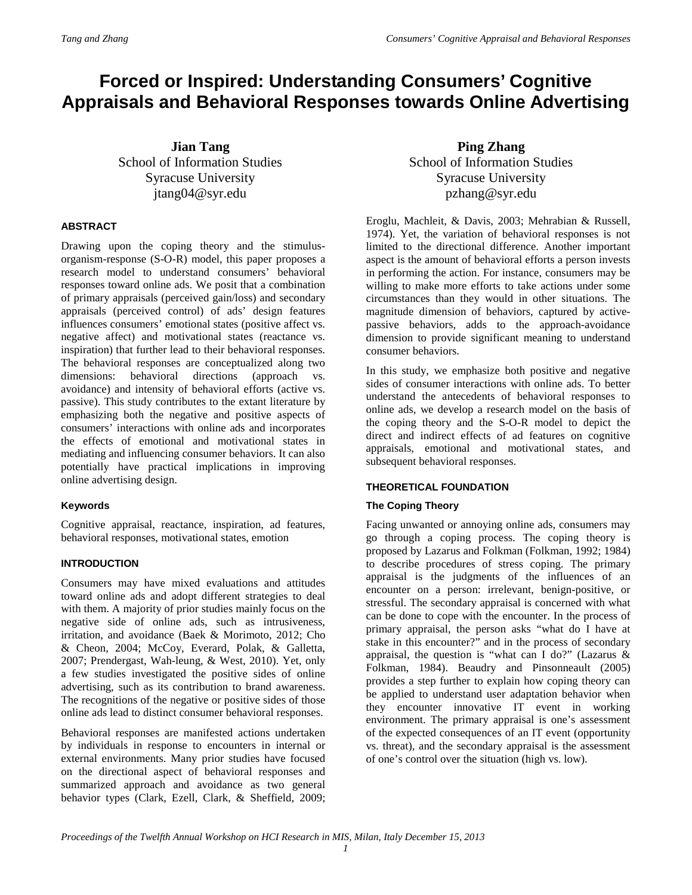# **Forced or Inspired: Understanding Consumers' Cognitive Appraisals and Behavioral Responses towards Online Advertising**

**Jian Tang** School of Information Studies Syracuse University jtang04@syr.edu

# **ABSTRACT**

Drawing upon the coping theory and the stimulusorganism-response (S-O-R) model, this paper proposes a research model to understand consumers' behavioral responses toward online ads. We posit that a combination of primary appraisals (perceived gain/loss) and secondary appraisals (perceived control) of ads' design features influences consumers' emotional states (positive affect vs. negative affect) and motivational states (reactance vs. inspiration) that further lead to their behavioral responses. The behavioral responses are conceptualized along two dimensions: behavioral directions (approach vs. avoidance) and intensity of behavioral efforts (active vs. passive). This study contributes to the extant literature by emphasizing both the negative and positive aspects of consumers' interactions with online ads and incorporates the effects of emotional and motivational states in mediating and influencing consumer behaviors. It can also potentially have practical implications in improving online advertising design.

# **Keywords**

Cognitive appraisal, reactance, inspiration, ad features, behavioral responses, motivational states, emotion

# **INTRODUCTION**

Consumers may have mixed evaluations and attitudes toward online ads and adopt different strategies to deal with them. A majority of prior studies mainly focus on the negative side of online ads, such as intrusiveness, irritation, and avoidance (Baek & Morimoto, 2012; Cho & Cheon, 2004; McCoy, Everard, Polak, & Galletta, 2007; Prendergast, Wah-leung, & West, 2010). Yet, only a few studies investigated the positive sides of online advertising, such as its contribution to brand awareness. The recognitions of the negative or positive sides of those online ads lead to distinct consumer behavioral responses.

Behavioral responses are manifested actions undertaken by individuals in response to encounters in internal or external environments. Many prior studies have focused on the directional aspect of behavioral responses and summarized approach and avoidance as two general behavior types (Clark, Ezell, Clark, & Sheffield, 2009;

**Ping Zhang** School of Information Studies Syracuse University pzhang@syr.edu

Eroglu, Machleit, & Davis, 2003; Mehrabian & Russell, 1974). Yet, the variation of behavioral responses is not limited to the directional difference. Another important aspect is the amount of behavioral efforts a person invests in performing the action. For instance, consumers may be willing to make more efforts to take actions under some circumstances than they would in other situations. The magnitude dimension of behaviors, captured by activepassive behaviors, adds to the approach-avoidance dimension to provide significant meaning to understand consumer behaviors.

In this study, we emphasize both positive and negative sides of consumer interactions with online ads. To better understand the antecedents of behavioral responses to online ads, we develop a research model on the basis of the coping theory and the S-O-R model to depict the direct and indirect effects of ad features on cognitive appraisals, emotional and motivational states, and subsequent behavioral responses.

# **THEORETICAL FOUNDATION**

# **The Coping Theory**

Facing unwanted or annoying online ads, consumers may go through a coping process. The coping theory is proposed by Lazarus and Folkman (Folkman, 1992; 1984) to describe procedures of stress coping. The primary appraisal is the judgments of the influences of an encounter on a person: irrelevant, benign-positive, or stressful. The secondary appraisal is concerned with what can be done to cope with the encounter. In the process of primary appraisal, the person asks "what do I have at stake in this encounter?" and in the process of secondary appraisal, the question is "what can I do?" (Lazarus & Folkman, 1984). Beaudry and Pinsonneault (2005) provides a step further to explain how coping theory can be applied to understand user adaptation behavior when they encounter innovative IT event in working environment. The primary appraisal is one's assessment of the expected consequences of an IT event (opportunity vs. threat), and the secondary appraisal is the assessment of one's control over the situation (high vs. low).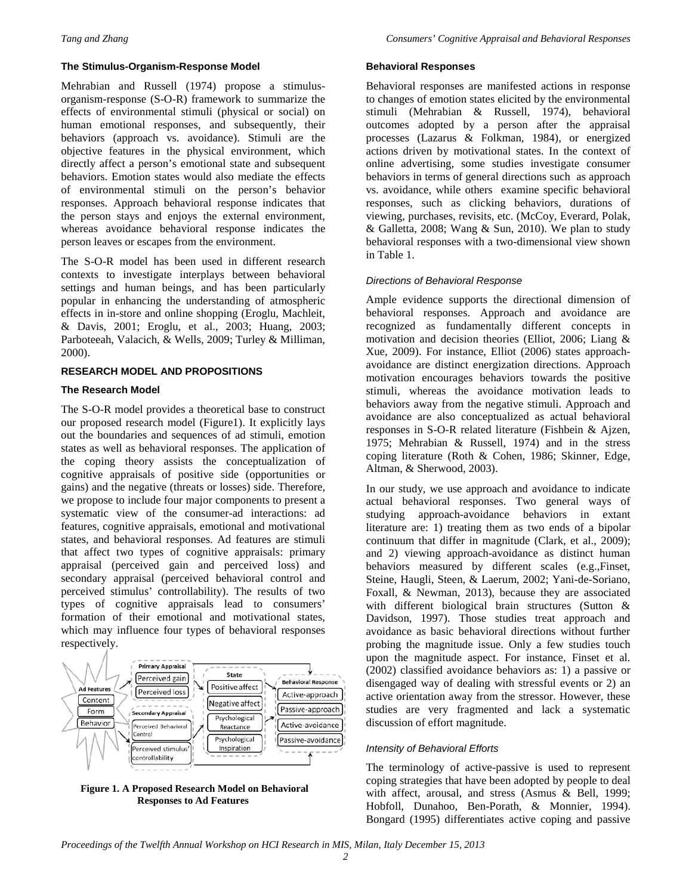## **The Stimulus-Organism-Response Model**

Mehrabian and Russell (1974) propose a stimulusorganism-response (S-O-R) framework to summarize the effects of environmental stimuli (physical or social) on human emotional responses, and subsequently, their behaviors (approach vs. avoidance). Stimuli are the objective features in the physical environment, which directly affect a person's emotional state and subsequent behaviors. Emotion states would also mediate the effects of environmental stimuli on the person's behavior responses. Approach behavioral response indicates that the person stays and enjoys the external environment, whereas avoidance behavioral response indicates the person leaves or escapes from the environment.

The S-O-R model has been used in different research contexts to investigate interplays between behavioral settings and human beings, and has been particularly popular in enhancing the understanding of atmospheric effects in in-store and online shopping (Eroglu, Machleit, & Davis, 2001; Eroglu, et al., 2003; Huang, 2003; Parboteeah, Valacich, & Wells, 2009; Turley & Milliman, 2000).

# **RESEARCH MODEL AND PROPOSITIONS**

## **The Research Model**

The S-O-R model provides a theoretical base to construct our proposed research model (Figure1). It explicitly lays out the boundaries and sequences of ad stimuli, emotion states as well as behavioral responses. The application of the coping theory assists the conceptualization of cognitive appraisals of positive side (opportunities or gains) and the negative (threats or losses) side. Therefore, we propose to include four major components to present a systematic view of the consumer-ad interactions: ad features, cognitive appraisals, emotional and motivational states, and behavioral responses. Ad features are stimuli that affect two types of cognitive appraisals: primary appraisal (perceived gain and perceived loss) and secondary appraisal (perceived behavioral control and perceived stimulus' controllability). The results of two types of cognitive appraisals lead to consumers' formation of their emotional and motivational states, which may influence four types of behavioral responses respectively.



**Figure 1. A Proposed Research Model on Behavioral Responses to Ad Features**

#### **Behavioral Responses**

Behavioral responses are manifested actions in response to changes of emotion states elicited by the environmental stimuli (Mehrabian & Russell, 1974), behavioral outcomes adopted by a person after the appraisal processes (Lazarus & Folkman, 1984), or energized actions driven by motivational states. In the context of online advertising, some studies investigate consumer behaviors in terms of general directions such as approach vs. avoidance, while others examine specific behavioral responses, such as clicking behaviors, durations of viewing, purchases, revisits, etc. (McCoy, Everard, Polak, & Galletta, 2008; Wang & Sun, 2010). We plan to study behavioral responses with a two-dimensional view shown in Table 1.

## *Directions of Behavioral Response*

Ample evidence supports the directional dimension of behavioral responses. Approach and avoidance are recognized as fundamentally different concepts in motivation and decision theories (Elliot, 2006; Liang & Xue, 2009). For instance, Elliot (2006) states approachavoidance are distinct energization directions. Approach motivation encourages behaviors towards the positive stimuli, whereas the avoidance motivation leads to behaviors away from the negative stimuli. Approach and avoidance are also conceptualized as actual behavioral responses in S-O-R related literature (Fishbein & Ajzen, 1975; Mehrabian & Russell, 1974) and in the stress coping literature (Roth & Cohen, 1986; Skinner, Edge, Altman, & Sherwood, 2003).

In our study, we use approach and avoidance to indicate actual behavioral responses. Two general ways of studying approach-avoidance behaviors in extant literature are: 1) treating them as two ends of a bipolar continuum that differ in magnitude (Clark, et al., 2009); and 2) viewing approach-avoidance as distinct human behaviors measured by different scales (e.g.,Finset, Steine, Haugli, Steen, & Laerum, 2002; Yani-de-Soriano, Foxall, & Newman, 2013), because they are associated with different biological brain structures (Sutton & Davidson, 1997). Those studies treat approach and avoidance as basic behavioral directions without further probing the magnitude issue. Only a few studies touch upon the magnitude aspect. For instance, Finset et al. (2002) classified avoidance behaviors as: 1) a passive or disengaged way of dealing with stressful events or 2) an active orientation away from the stressor. However, these studies are very fragmented and lack a systematic discussion of effort magnitude.

#### *Intensity of Behavioral Efforts*

The terminology of active-passive is used to represent coping strategies that have been adopted by people to deal with affect, arousal, and stress (Asmus & Bell, 1999; Hobfoll, Dunahoo, Ben-Porath, & Monnier, 1994). Bongard (1995) differentiates active coping and passive

*Proceedings of the Twelfth Annual Workshop on HCI Research in MIS, Milan, Italy December 15, 2013*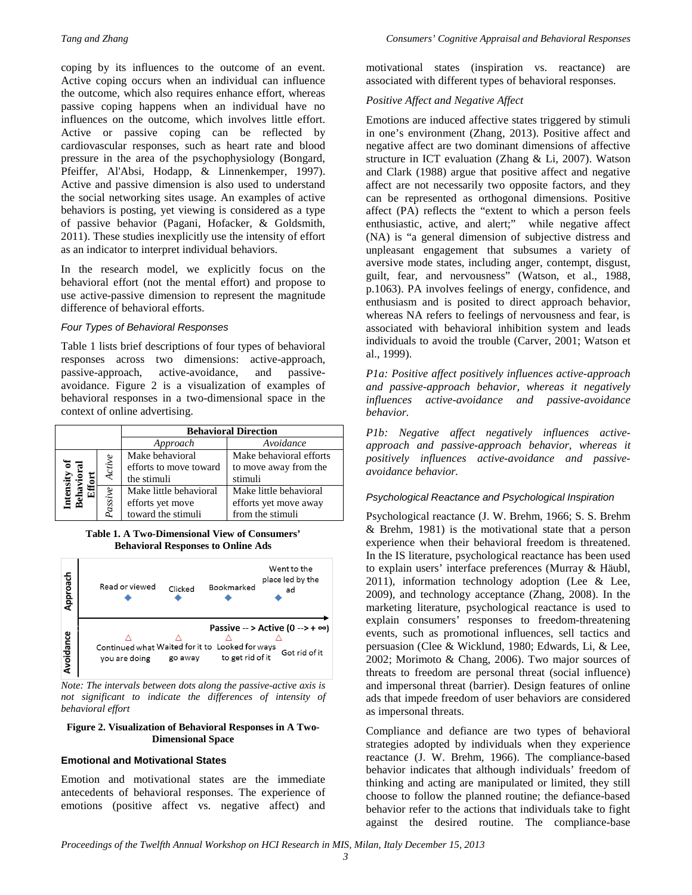coping by its influences to the outcome of an event. Active coping occurs when an individual can influence the outcome, which also requires enhance effort, whereas passive coping happens when an individual have no influences on the outcome, which involves little effort. Active or passive coping can be reflected by cardiovascular responses, such as heart rate and blood pressure in the area of the psychophysiology (Bongard, Pfeiffer, Al'Absi, Hodapp, & Linnenkemper, 1997). Active and passive dimension is also used to understand the social networking sites usage. An examples of active behaviors is posting, yet viewing is considered as a type of passive behavior (Pagani, Hofacker, & Goldsmith, 2011). These studies inexplicitly use the intensity of effort as an indicator to interpret individual behaviors.

In the research model, we explicitly focus on the behavioral effort (not the mental effort) and propose to use active-passive dimension to represent the magnitude difference of behavioral efforts.

## *Four Types of Behavioral Responses*

Table 1 lists brief descriptions of four types of behavioral responses across two dimensions: active-approach, passive-approach, active-avoidance, and passiveavoidance. Figure 2 is a visualization of examples of behavioral responses in a two-dimensional space in the context of online advertising.

|                                          |         | <b>Behavioral Direction</b>                                      |                                                                     |
|------------------------------------------|---------|------------------------------------------------------------------|---------------------------------------------------------------------|
|                                          |         | Approach                                                         | Avoidance                                                           |
| $\overline{\mathbf{s}}$<br>Inten<br>Beha | Active  | Make behavioral<br>efforts to move toward<br>the stimuli         | Make behavioral efforts<br>to move away from the<br>stimuli         |
|                                          | passive | Make little behavioral<br>efforts yet move<br>toward the stimuli | Make little behavioral<br>efforts yet move away<br>from the stimuli |

**Table 1. A Two-Dimensional View of Consumers' Behavioral Responses to Online Ads**



*Note: The intervals between dots along the passive-active axis is not significant to indicate the differences of intensity of behavioral effort*

#### **Figure 2. Visualization of Behavioral Responses in A Two-Dimensional Space**

# **Emotional and Motivational States**

Emotion and motivational states are the immediate antecedents of behavioral responses. The experience of emotions (positive affect vs. negative affect) and

motivational states (inspiration vs. reactance) are associated with different types of behavioral responses.

# *Positive Affect and Negative Affect*

Emotions are induced affective states triggered by stimuli in one's environment (Zhang, 2013). Positive affect and negative affect are two dominant dimensions of affective structure in ICT evaluation (Zhang & Li, 2007). Watson and Clark (1988) argue that positive affect and negative affect are not necessarily two opposite factors, and they can be represented as orthogonal dimensions. Positive affect (PA) reflects the "extent to which a person feels enthusiastic, active, and alert;" while negative affect (NA) is "a general dimension of subjective distress and unpleasant engagement that subsumes a variety of aversive mode states, including anger, contempt, disgust, guilt, fear, and nervousness" (Watson, et al., 1988, p.1063). PA involves feelings of energy, confidence, and enthusiasm and is posited to direct approach behavior, whereas NA refers to feelings of nervousness and fear, is associated with behavioral inhibition system and leads individuals to avoid the trouble (Carver, 2001; Watson et al., 1999).

*P1a: Positive affect positively influences active-approach and passive-approach behavior, whereas it negatively influences active-avoidance and passive-avoidance behavior.* 

*P1b: Negative affect negatively influences activeapproach and passive-approach behavior, whereas it positively influences active-avoidance and passiveavoidance behavior.* 

# *Psychological Reactance and Psychological Inspiration*

Psychological reactance (J. W. Brehm, 1966; S. S. Brehm & Brehm, 1981) is the motivational state that a person experience when their behavioral freedom is threatened. In the IS literature, psychological reactance has been used to explain users' interface preferences (Murray & Häubl,  $2011$ ), information technology adoption (Lee & Lee, 2009), and technology acceptance (Zhang, 2008). In the marketing literature, psychological reactance is used to explain consumers' responses to freedom-threatening events, such as promotional influences, sell tactics and persuasion (Clee & Wicklund, 1980; Edwards, Li, & Lee, 2002; Morimoto & Chang, 2006). Two major sources of threats to freedom are personal threat (social influence) and impersonal threat (barrier). Design features of online ads that impede freedom of user behaviors are considered as impersonal threats.

Compliance and defiance are two types of behavioral strategies adopted by individuals when they experience reactance (J. W. Brehm, 1966). The compliance-based behavior indicates that although individuals' freedom of thinking and acting are manipulated or limited, they still choose to follow the planned routine; the defiance-based behavior refer to the actions that individuals take to fight against the desired routine. The compliance-base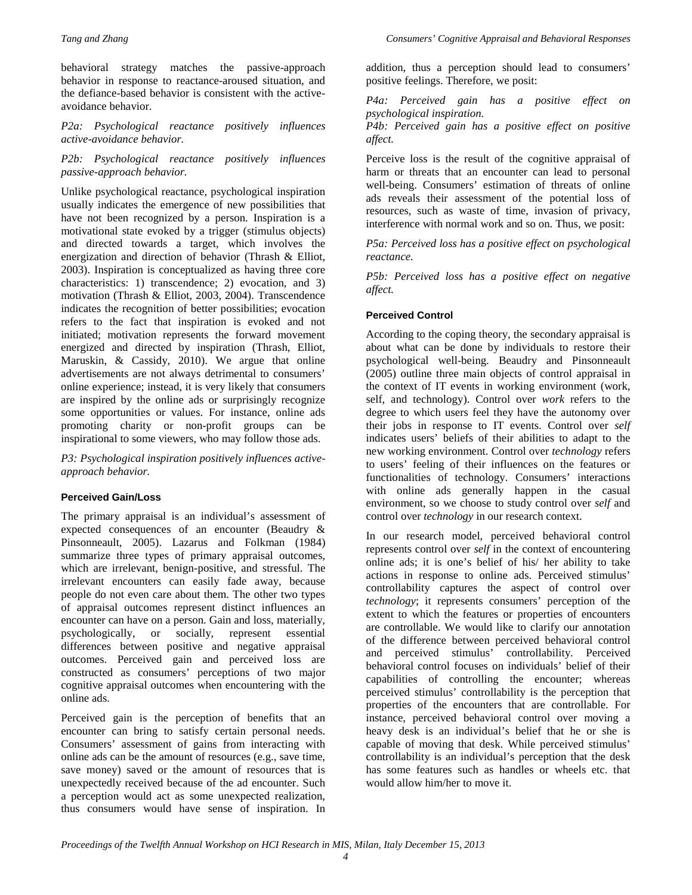behavioral strategy matches the passive-approach behavior in response to reactance-aroused situation, and the defiance-based behavior is consistent with the activeavoidance behavior.

*P2a: Psychological reactance positively influences active-avoidance behavior.* 

*P2b: Psychological reactance positively influences passive-approach behavior.* 

Unlike psychological reactance, psychological inspiration usually indicates the emergence of new possibilities that have not been recognized by a person. Inspiration is a motivational state evoked by a trigger (stimulus objects) and directed towards a target, which involves the energization and direction of behavior (Thrash & Elliot, 2003). Inspiration is conceptualized as having three core characteristics: 1) transcendence; 2) evocation, and 3) motivation (Thrash & Elliot, 2003, 2004). Transcendence indicates the recognition of better possibilities; evocation refers to the fact that inspiration is evoked and not initiated; motivation represents the forward movement energized and directed by inspiration (Thrash, Elliot, Maruskin, & Cassidy, 2010). We argue that online advertisements are not always detrimental to consumers' online experience; instead, it is very likely that consumers are inspired by the online ads or surprisingly recognize some opportunities or values. For instance, online ads promoting charity or non-profit groups can be inspirational to some viewers, who may follow those ads.

*P3: Psychological inspiration positively influences activeapproach behavior.*

#### **Perceived Gain/Loss**

The primary appraisal is an individual's assessment of expected consequences of an encounter (Beaudry & Pinsonneault, 2005). Lazarus and Folkman (1984) summarize three types of primary appraisal outcomes, which are irrelevant, benign-positive, and stressful. The irrelevant encounters can easily fade away, because people do not even care about them. The other two types of appraisal outcomes represent distinct influences an encounter can have on a person. Gain and loss, materially, psychologically, or socially, represent essential differences between positive and negative appraisal outcomes. Perceived gain and perceived loss are constructed as consumers' perceptions of two major cognitive appraisal outcomes when encountering with the online ads.

Perceived gain is the perception of benefits that an encounter can bring to satisfy certain personal needs. Consumers' assessment of gains from interacting with online ads can be the amount of resources (e.g., save time, save money) saved or the amount of resources that is unexpectedly received because of the ad encounter. Such a perception would act as some unexpected realization, thus consumers would have sense of inspiration. In

addition, thus a perception should lead to consumers' positive feelings. Therefore, we posit:

*P4a: Perceived gain has a positive effect on psychological inspiration.* 

*P4b: Perceived gain has a positive effect on positive affect.*

Perceive loss is the result of the cognitive appraisal of harm or threats that an encounter can lead to personal well-being. Consumers' estimation of threats of online ads reveals their assessment of the potential loss of resources, such as waste of time, invasion of privacy, interference with normal work and so on. Thus, we posit:

*P5a: Perceived loss has a positive effect on psychological reactance.*

*P5b: Perceived loss has a positive effect on negative affect.* 

## **Perceived Control**

According to the coping theory, the secondary appraisal is about what can be done by individuals to restore their psychological well-being. Beaudry and Pinsonneault (2005) outline three main objects of control appraisal in the context of IT events in working environment (work, self, and technology). Control over *work* refers to the degree to which users feel they have the autonomy over their jobs in response to IT events. Control over *self*  indicates users' beliefs of their abilities to adapt to the new working environment. Control over *technology* refers to users' feeling of their influences on the features or functionalities of technology. Consumers' interactions with online ads generally happen in the casual environment, so we choose to study control over *self* and control over *technology* in our research context.

In our research model, perceived behavioral control represents control over *self* in the context of encountering online ads; it is one's belief of his/ her ability to take actions in response to online ads. Perceived stimulus' controllability captures the aspect of control over *technology*; it represents consumers' perception of the extent to which the features or properties of encounters are controllable. We would like to clarify our annotation of the difference between perceived behavioral control and perceived stimulus' controllability. Perceived behavioral control focuses on individuals' belief of their capabilities of controlling the encounter; whereas perceived stimulus' controllability is the perception that properties of the encounters that are controllable. For instance, perceived behavioral control over moving a heavy desk is an individual's belief that he or she is capable of moving that desk. While perceived stimulus' controllability is an individual's perception that the desk has some features such as handles or wheels etc. that would allow him/her to move it.